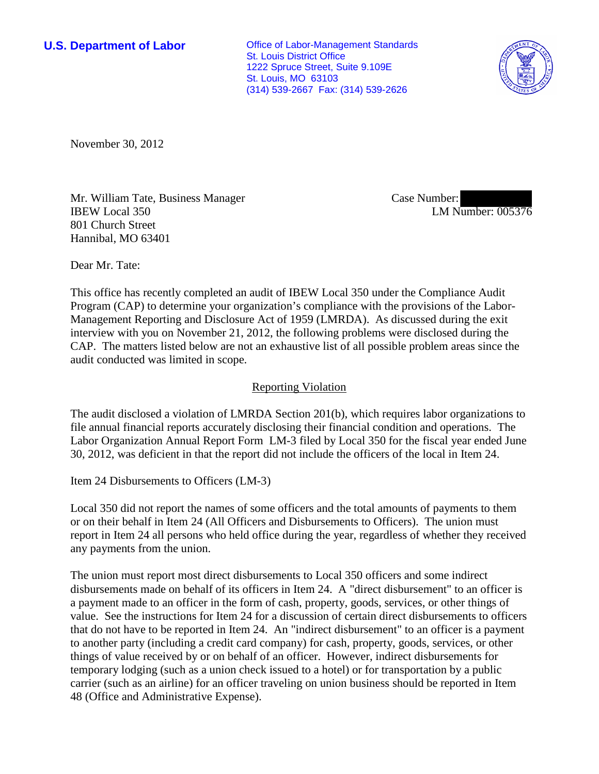**U.S. Department of Labor Conservative Conservative Conservative Conservative Conservative Conservative Conservative Conservative Conservative Conservative Conservative Conservative Conservative Conservative Conservative** St. Louis District Office 1222 Spruce Street, Suite 9.109E St. Louis, MO 63103 (314) 539-2667 Fax: (314) 539-2626



November 30, 2012

Mr. William Tate, Business Manager IBEW Local 350 801 Church Street Hannibal, MO 63401

Case Number: LM Number: 005376

Dear Mr. Tate:

This office has recently completed an audit of IBEW Local 350 under the Compliance Audit Program (CAP) to determine your organization's compliance with the provisions of the Labor-Management Reporting and Disclosure Act of 1959 (LMRDA). As discussed during the exit interview with you on November 21, 2012, the following problems were disclosed during the CAP. The matters listed below are not an exhaustive list of all possible problem areas since the audit conducted was limited in scope.

## Reporting Violation

The audit disclosed a violation of LMRDA Section 201(b), which requires labor organizations to file annual financial reports accurately disclosing their financial condition and operations. The Labor Organization Annual Report Form LM-3 filed by Local 350 for the fiscal year ended June 30, 2012, was deficient in that the report did not include the officers of the local in Item 24.

Item 24 Disbursements to Officers (LM-3)

Local 350 did not report the names of some officers and the total amounts of payments to them or on their behalf in Item 24 (All Officers and Disbursements to Officers). The union must report in Item 24 all persons who held office during the year, regardless of whether they received any payments from the union.

The union must report most direct disbursements to Local 350 officers and some indirect disbursements made on behalf of its officers in Item 24. A "direct disbursement" to an officer is a payment made to an officer in the form of cash, property, goods, services, or other things of value. See the instructions for Item 24 for a discussion of certain direct disbursements to officers that do not have to be reported in Item 24. An "indirect disbursement" to an officer is a payment to another party (including a credit card company) for cash, property, goods, services, or other things of value received by or on behalf of an officer. However, indirect disbursements for temporary lodging (such as a union check issued to a hotel) or for transportation by a public carrier (such as an airline) for an officer traveling on union business should be reported in Item 48 (Office and Administrative Expense).